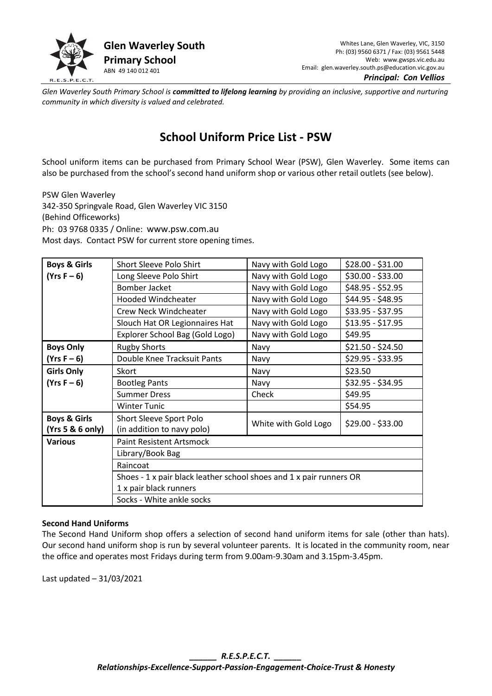

*Principal: Con Vellios* 

*Glen Waverley South Primary School is committed to lifelong learning by providing an inclusive, supportive and nurturing community in which diversity is valued and celebrated.*

## **School Uniform Price List - PSW**

School uniform items can be purchased from Primary School Wear (PSW), Glen Waverley. Some items can also be purchased from the school's second hand uniform shop or various other retail outlets (see below).

PSW Glen Waverley 342-350 Springvale Road, Glen Waverley VIC 3150 (Behind Officeworks) Ph: 03 9768 0335 / Online: [www.psw.com.au](http://www.psw.com.au/) Most days. Contact PSW for current store opening times.

| <b>Boys &amp; Girls</b> | <b>Short Sleeve Polo Shirt</b>                                      | Navy with Gold Logo  | $$28.00 - $31.00$ |
|-------------------------|---------------------------------------------------------------------|----------------------|-------------------|
| $(Yrs F - 6)$           | Long Sleeve Polo Shirt                                              | Navy with Gold Logo  | \$30.00 - \$33.00 |
|                         | <b>Bomber Jacket</b>                                                | Navy with Gold Logo  | \$48.95 - \$52.95 |
|                         | <b>Hooded Windcheater</b>                                           | Navy with Gold Logo  | \$44.95 - \$48.95 |
|                         | Crew Neck Windcheater                                               | Navy with Gold Logo  | $$33.95 - $37.95$ |
|                         | Slouch Hat OR Legionnaires Hat                                      | Navy with Gold Logo  | $$13.95 - $17.95$ |
|                         | Explorer School Bag (Gold Logo)                                     | Navy with Gold Logo  | \$49.95           |
| <b>Boys Only</b>        | <b>Rugby Shorts</b>                                                 | Navy                 | $$21.50 - $24.50$ |
| $(Yrs F - 6)$           | Double Knee Tracksuit Pants                                         | Navy                 | \$29.95 - \$33.95 |
| <b>Girls Only</b>       | Skort                                                               | Navy                 | \$23.50           |
| $(Yrs F - 6)$           | <b>Bootleg Pants</b>                                                | Navy                 | $$32.95 - $34.95$ |
|                         | <b>Summer Dress</b>                                                 | Check                | \$49.95           |
|                         | <b>Winter Tunic</b>                                                 |                      | \$54.95           |
| <b>Boys &amp; Girls</b> | Short Sleeve Sport Polo                                             | White with Gold Logo | $$29.00 - $33.00$ |
| (Yrs 5 & 6 only)        | (in addition to navy polo)                                          |                      |                   |
| <b>Various</b>          | <b>Paint Resistent Artsmock</b>                                     |                      |                   |
|                         | Library/Book Bag                                                    |                      |                   |
|                         | Raincoat                                                            |                      |                   |
|                         | Shoes - 1 x pair black leather school shoes and 1 x pair runners OR |                      |                   |
|                         | 1 x pair black runners                                              |                      |                   |
|                         | Socks - White ankle socks                                           |                      |                   |

## **Second Hand Uniforms**

The Second Hand Uniform shop offers a selection of second hand uniform items for sale (other than hats). Our second hand uniform shop is run by several volunteer parents. It is located in the community room, near the office and operates most Fridays during term from 9.00am-9.30am and 3.15pm-3.45pm.

Last updated – 31/03/2021